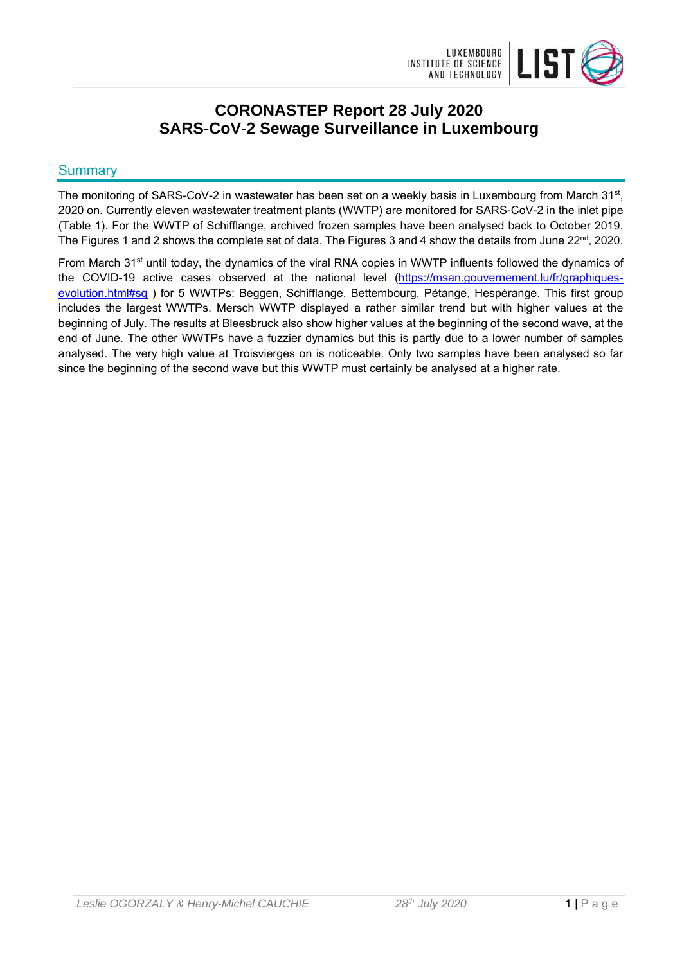

# **CORONASTEP Report 28 July 2020 SARS-CoV-2 Sewage Surveillance in Luxembourg**

## **Summary**

The monitoring of SARS-CoV-2 in wastewater has been set on a weekly basis in Luxembourg from March 31<sup>st</sup>, 2020 on. Currently eleven wastewater treatment plants (WWTP) are monitored for SARS-CoV-2 in the inlet pipe (Table 1). For the WWTP of Schifflange, archived frozen samples have been analysed back to October 2019. The Figures 1 and 2 shows the complete set of data. The Figures 3 and 4 show the details from June 22<sup>nd</sup>, 2020.

From March 31<sup>st</sup> until today, the dynamics of the viral RNA copies in WWTP influents followed the dynamics of the COVID-19 active cases observed at the national level (https://msan.gouvernement.lu/fr/graphiquesevolution.html#sg ) for 5 WWTPs: Beggen, Schifflange, Bettembourg, Pétange, Hespérange. This first group includes the largest WWTPs. Mersch WWTP displayed a rather similar trend but with higher values at the beginning of July. The results at Bleesbruck also show higher values at the beginning of the second wave, at the end of June. The other WWTPs have a fuzzier dynamics but this is partly due to a lower number of samples analysed. The very high value at Troisvierges on is noticeable. Only two samples have been analysed so far since the beginning of the second wave but this WWTP must certainly be analysed at a higher rate.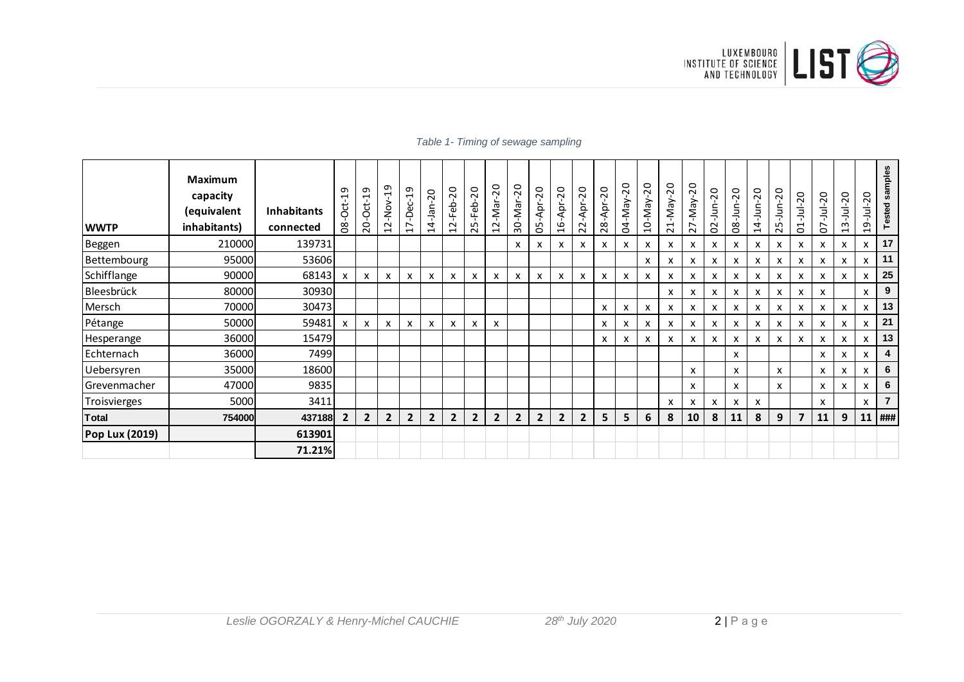

| <b>WWTP</b>    | <b>Maximum</b><br>capacity<br>(equivalent<br>inhabitants) | <b>Inhabitants</b><br>connected | ᡡ<br>$-0$ ct $-1$<br>80 | ᡡ<br>$-0$ ct-1<br>$\overline{c}$ | ᡡ<br>부<br>-Nov-<br>$\sim$<br>$\overline{\phantom{0}}$ | ᡡ<br>$\overline{\phantom{0}}$<br>-Dec-<br>$\overline{\phantom{0}}$ | 20<br>غ∃<br>ج<br>4<br>$\overline{\phantom{0}}$ | $\overline{c}$<br>-Feb-<br>$\sim$<br>$\overline{\phantom{0}}$ | $\overline{c}$<br>-Feb<br>LO<br>$\sim$ | 20<br>-Nar<br>$\sim$<br>$\overline{ }$ | $\overline{c}$<br>$-$ Mar-<br>$\overline{30}$ | 20<br>Apr-<br>LO<br>Õ | 20<br>Apr <sub>.</sub><br>$\frac{9}{1}$ | 20<br>-Apr-<br>$\sim$<br>$\sim$ | 20<br>-Apr-<br>$\infty$<br>$\tilde{\mathbf{N}}$ | 20<br>VeW-<br>g | 20<br>-May-<br>$\frac{1}{2}$ | 20<br>-May<br>$\overline{\phantom{0}}$<br>$\sim$ | $\overline{c}$<br>VeW-<br>∼<br>$\sim$ | 20<br>$\frac{1}{2}$<br>$\sim$<br>$\ddot{\circ}$ | 20<br>غ<br>ج<br>$\overline{8}$ | $\overline{c}$<br>ι<br>Ε−<br>$\overline{4}$ | 20<br>aut-<br>LO<br>$\sim$ | 20<br>ミ<br>$\overline{\phantom{0}}$<br>$\circ$ | 20<br>ミ<br>∼<br>Ó         | $\overline{c}$<br>ミー<br>m<br>H | 20<br>ミー<br>Ō<br>$\mathbf{\mathbf{\mathbf{\mathsf{H}}}}$ | samples<br>ested |
|----------------|-----------------------------------------------------------|---------------------------------|-------------------------|----------------------------------|-------------------------------------------------------|--------------------------------------------------------------------|------------------------------------------------|---------------------------------------------------------------|----------------------------------------|----------------------------------------|-----------------------------------------------|-----------------------|-----------------------------------------|---------------------------------|-------------------------------------------------|-----------------|------------------------------|--------------------------------------------------|---------------------------------------|-------------------------------------------------|--------------------------------|---------------------------------------------|----------------------------|------------------------------------------------|---------------------------|--------------------------------|----------------------------------------------------------|------------------|
| <b>Beggen</b>  | 210000                                                    | 139731                          |                         |                                  |                                                       |                                                                    |                                                |                                                               |                                        |                                        | x                                             | х                     | x                                       | x                               | x                                               | x               | x                            | x                                                | x                                     | x                                               | X                              | x                                           | x                          | х                                              | x                         | x                              | x                                                        | 17               |
| Bettembourg    | 95000                                                     | 53606                           |                         |                                  |                                                       |                                                                    |                                                |                                                               |                                        |                                        |                                               |                       |                                         |                                 |                                                 |                 | x                            | x                                                | x                                     | x                                               | x                              | x                                           | x                          | x                                              | x                         | x                              | x                                                        | 11               |
| Schifflange    | 90000                                                     | 68143                           | x                       | x                                | X                                                     | x                                                                  | х                                              | x                                                             | х                                      | x                                      | x                                             | X                     | x                                       | x                               | x                                               | X               | X                            | x                                                | x                                     | x                                               | x                              | x                                           | x                          | x                                              | x                         | X                              | X                                                        | 25               |
| Bleesbrück     | 80000                                                     | 30930                           |                         |                                  |                                                       |                                                                    |                                                |                                                               |                                        |                                        |                                               |                       |                                         |                                 |                                                 |                 |                              | X                                                | X                                     | X                                               | x                              | x                                           | x                          | x                                              | x                         |                                | X                                                        | 9                |
| Mersch         | 70000                                                     | 30473                           |                         |                                  |                                                       |                                                                    |                                                |                                                               |                                        |                                        |                                               |                       |                                         |                                 | X                                               | x               | x                            | x                                                | x                                     | x                                               | x                              | x                                           | x                          | x                                              | x                         | x                              | X                                                        | 13               |
| Pétange        | 50000                                                     | 59481                           | X                       | x                                | x                                                     | x                                                                  | х                                              | X                                                             | х                                      | X                                      |                                               |                       |                                         |                                 | x                                               | x               | x                            | x                                                | x                                     | X                                               | X                              | x                                           | x                          | x                                              | x                         | X                              | x                                                        | 21               |
| Hesperange     | 36000                                                     | 15479                           |                         |                                  |                                                       |                                                                    |                                                |                                                               |                                        |                                        |                                               |                       |                                         |                                 | X                                               | x               | x                            | x                                                | x                                     | x                                               | x                              | x                                           | x                          | x                                              | x                         | x                              | X                                                        | 13               |
| Echternach     | 36000                                                     | 7499                            |                         |                                  |                                                       |                                                                    |                                                |                                                               |                                        |                                        |                                               |                       |                                         |                                 |                                                 |                 |                              |                                                  |                                       |                                                 | X                              |                                             |                            |                                                | x                         | X                              | X                                                        | 4                |
| Uebersyren     | 35000                                                     | 18600                           |                         |                                  |                                                       |                                                                    |                                                |                                                               |                                        |                                        |                                               |                       |                                         |                                 |                                                 |                 |                              |                                                  | X                                     |                                                 | $\boldsymbol{\mathsf{x}}$      |                                             | X                          |                                                | $\boldsymbol{\mathsf{x}}$ | x                              | X                                                        | 6                |
| Grevenmacher   | 47000                                                     | 9835                            |                         |                                  |                                                       |                                                                    |                                                |                                                               |                                        |                                        |                                               |                       |                                         |                                 |                                                 |                 |                              |                                                  | X                                     |                                                 | X                              |                                             | X                          |                                                | X                         | x                              | X                                                        | 6                |
| Troisvierges   | 5000                                                      | 3411                            |                         |                                  |                                                       |                                                                    |                                                |                                                               |                                        |                                        |                                               |                       |                                         |                                 |                                                 |                 |                              | x                                                | X                                     | x                                               | X                              | X                                           |                            |                                                | x                         |                                | X                                                        | $\overline{7}$   |
| Total          | 754000                                                    | 437188                          | $\overline{2}$          | $\overline{2}$                   | $\overline{2}$                                        | $\overline{2}$                                                     | $\overline{2}$                                 | $\overline{2}$                                                | $\overline{2}$                         | $\overline{2}$                         | $\overline{2}$                                | $\overline{2}$        | $\overline{2}$                          | $\overline{2}$                  | 5                                               | 5               | 6                            | 8                                                | 10                                    | 8                                               | 11                             | 8                                           | 9                          | 7                                              | 11                        | 9                              | 11                                                       | ###              |
| Pop Lux (2019) |                                                           | 613901                          |                         |                                  |                                                       |                                                                    |                                                |                                                               |                                        |                                        |                                               |                       |                                         |                                 |                                                 |                 |                              |                                                  |                                       |                                                 |                                |                                             |                            |                                                |                           |                                |                                                          |                  |
|                |                                                           | 71.21%                          |                         |                                  |                                                       |                                                                    |                                                |                                                               |                                        |                                        |                                               |                       |                                         |                                 |                                                 |                 |                              |                                                  |                                       |                                                 |                                |                                             |                            |                                                |                           |                                |                                                          |                  |

#### *Table 1- Timing of sewage sampling*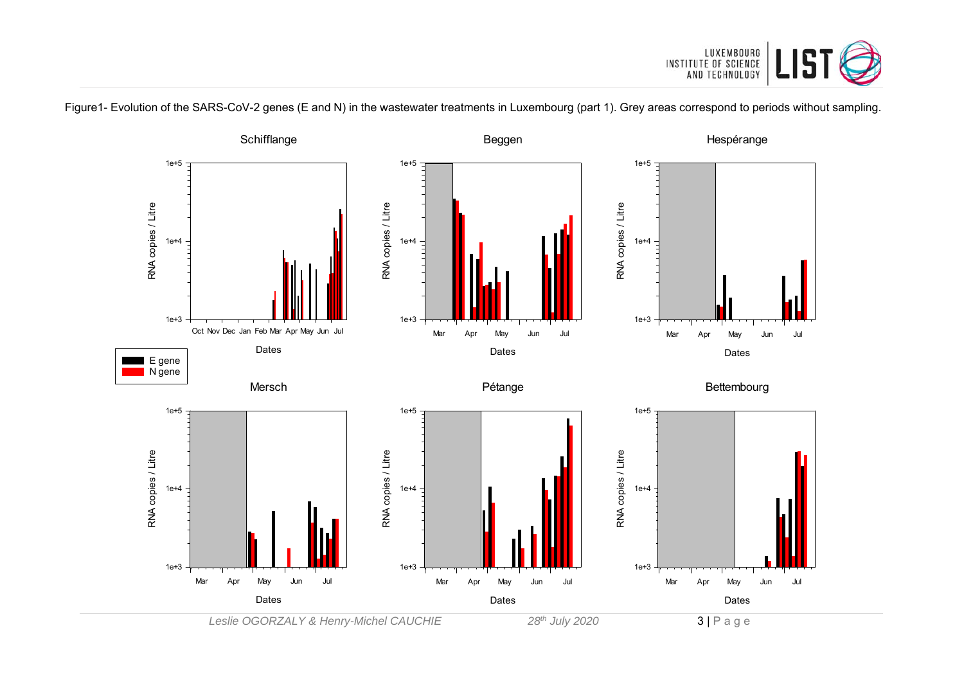

Figure1- Evolution of the SARS-CoV-2 genes (E and N) in the wastewater treatments in Luxembourg (part 1). Grey areas correspond to periods without sampling.

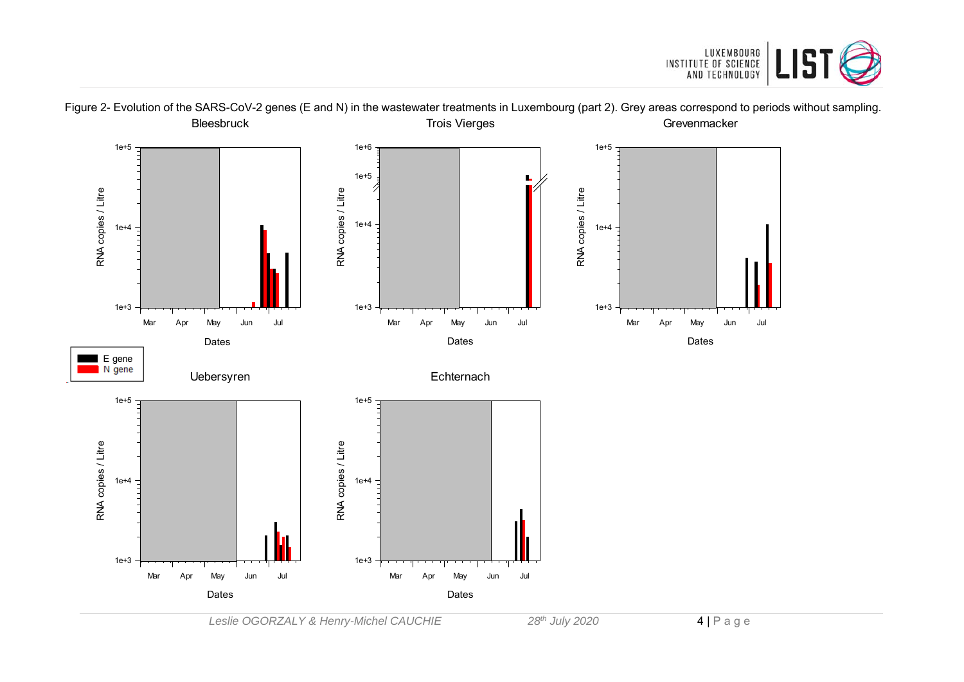



Figure 2- Evolution of the SARS-CoV-2 genes (E and N) in the wastewater treatments in Luxembourg (part 2). Grey areas correspond to periods without sampling.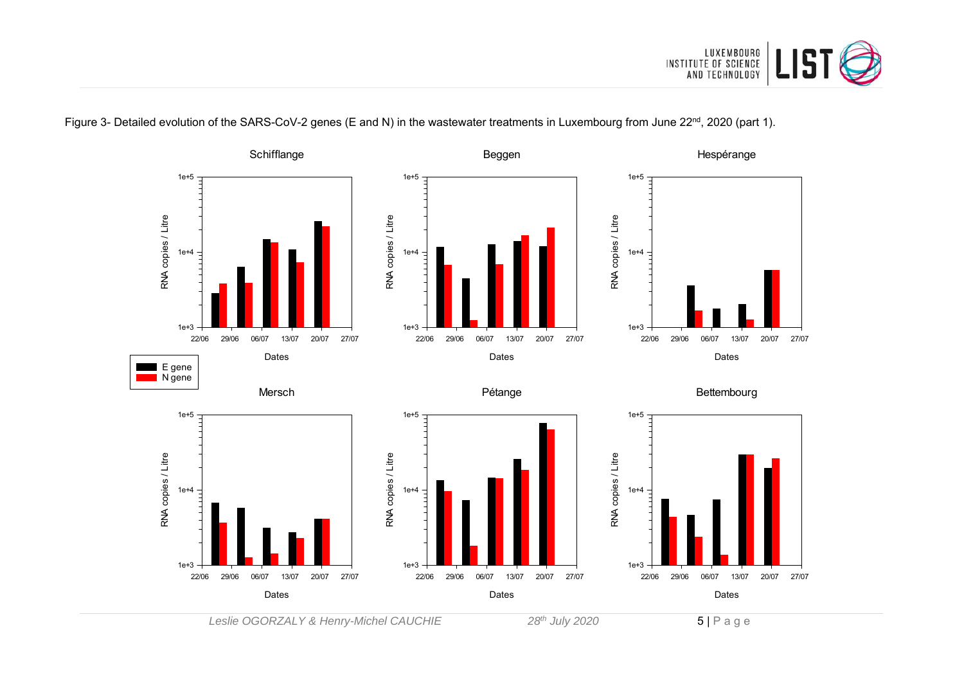

#### **Schifflange** Hespérange Beggen 1e+5 1e+5 1e+5 RNA copies / Litre RNA copies / Litre RNA copies / Litre RNA copies / Litre RNA copies / Litre RNA copies / Litre  $1e+4 -$ 1e+4 1e+4 1e+3 1e+3 1e+3 22/06 29/06 06/07 13/07 20/07 27/07 22/06 29/06 06/07 13/07 20/07 27/07 22/06 29/06 06/07 13/07 20/07 27/07 Dates Dates Dates E gene N gene Pétange **Bettembourg** Mersch 1e+5  $-$ 1e+5 1e+5 RNA copies / Litre RNA copies / Litre RNA copies / Litre RNA copies / Litre RNA copies / Litre RNA copies / Litre 1e+4 1e+4 1e+4 1e+3 1e+3 1e+3 22/06 29/06 06/07 13/07 20/07 27/07 22/06 29/06 06/07 13/07 20/07 27/07 22/06 29/06 06/07 13/07 20/07 27/07 Dates Dates Dates

Figure 3- Detailed evolution of the SARS-CoV-2 genes (E and N) in the wastewater treatments in Luxembourg from June 22<sup>nd</sup>, 2020 (part 1).

Leslie OGORZALY & Henry-Michel CAUCHIE 28<sup>th</sup> July 2020 5 | P a g e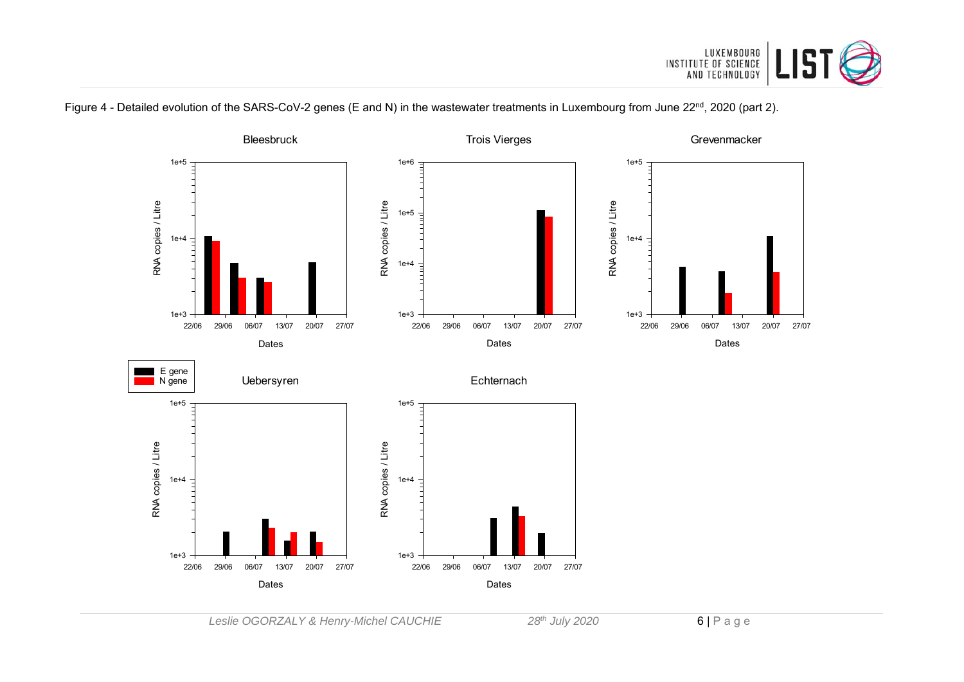



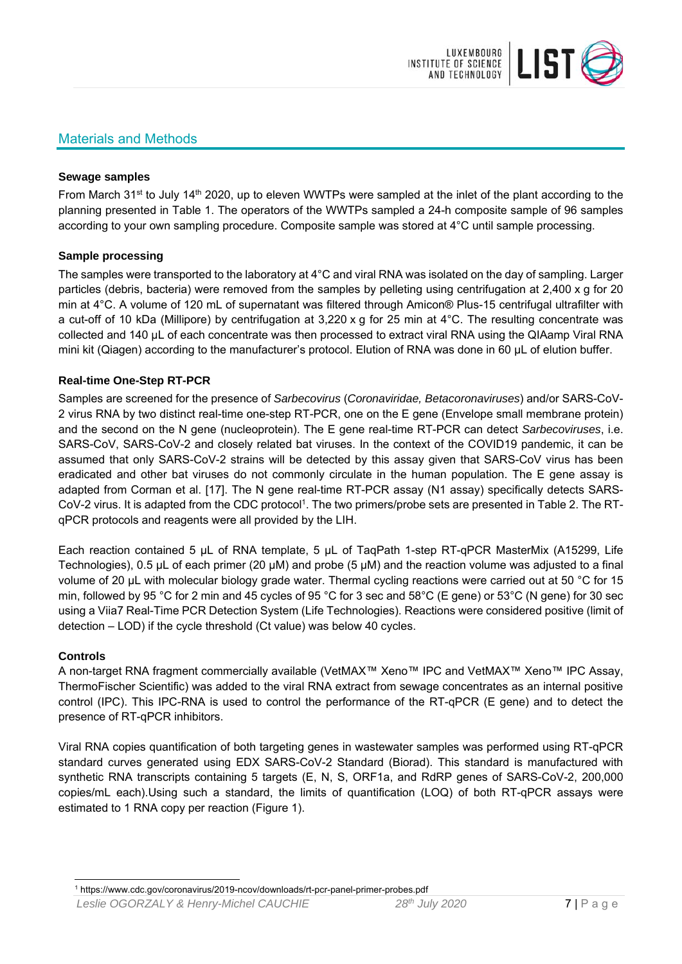

## Materials and Methods

#### **Sewage samples**

From March 31<sup>st</sup> to July 14<sup>th</sup> 2020, up to eleven WWTPs were sampled at the inlet of the plant according to the planning presented in Table 1. The operators of the WWTPs sampled a 24-h composite sample of 96 samples according to your own sampling procedure. Composite sample was stored at 4°C until sample processing.

#### **Sample processing**

The samples were transported to the laboratory at 4°C and viral RNA was isolated on the day of sampling. Larger particles (debris, bacteria) were removed from the samples by pelleting using centrifugation at 2,400 x g for 20 min at 4°C. A volume of 120 mL of supernatant was filtered through Amicon® Plus-15 centrifugal ultrafilter with a cut-off of 10 kDa (Millipore) by centrifugation at 3,220 x g for 25 min at 4°C. The resulting concentrate was collected and 140 µL of each concentrate was then processed to extract viral RNA using the QIAamp Viral RNA mini kit (Qiagen) according to the manufacturer's protocol. Elution of RNA was done in 60 μL of elution buffer.

#### **Real-time One-Step RT-PCR**

Samples are screened for the presence of *Sarbecovirus* (*Coronaviridae, Betacoronaviruses*) and/or SARS-CoV-2 virus RNA by two distinct real-time one-step RT-PCR, one on the E gene (Envelope small membrane protein) and the second on the N gene (nucleoprotein). The E gene real-time RT-PCR can detect *Sarbecoviruses*, i.e. SARS-CoV, SARS-CoV-2 and closely related bat viruses. In the context of the COVID19 pandemic, it can be assumed that only SARS-CoV-2 strains will be detected by this assay given that SARS-CoV virus has been eradicated and other bat viruses do not commonly circulate in the human population. The E gene assay is adapted from Corman et al. [17]. The N gene real-time RT-PCR assay (N1 assay) specifically detects SARS-CoV-2 virus. It is adapted from the CDC protocol<sup>1</sup>. The two primers/probe sets are presented in Table 2. The RTqPCR protocols and reagents were all provided by the LIH.

Each reaction contained 5 μL of RNA template, 5 μL of TaqPath 1-step RT-qPCR MasterMix (A15299, Life Technologies), 0.5 µL of each primer (20 µM) and probe (5 µM) and the reaction volume was adjusted to a final volume of 20 μL with molecular biology grade water. Thermal cycling reactions were carried out at 50 °C for 15 min, followed by 95 °C for 2 min and 45 cycles of 95 °C for 3 sec and 58°C (E gene) or 53°C (N gene) for 30 sec using a Viia7 Real-Time PCR Detection System (Life Technologies). Reactions were considered positive (limit of detection – LOD) if the cycle threshold (Ct value) was below 40 cycles.

#### **Controls**

A non-target RNA fragment commercially available (VetMAX™ Xeno™ IPC and VetMAX™ Xeno™ IPC Assay, ThermoFischer Scientific) was added to the viral RNA extract from sewage concentrates as an internal positive control (IPC). This IPC-RNA is used to control the performance of the RT-qPCR (E gene) and to detect the presence of RT-qPCR inhibitors.

Viral RNA copies quantification of both targeting genes in wastewater samples was performed using RT-qPCR standard curves generated using EDX SARS-CoV-2 Standard (Biorad). This standard is manufactured with synthetic RNA transcripts containing 5 targets (E, N, S, ORF1a, and RdRP genes of SARS-CoV-2, 200,000 copies/mL each).Using such a standard, the limits of quantification (LOQ) of both RT-qPCR assays were estimated to 1 RNA copy per reaction (Figure 1).

<sup>1</sup> 1 https://www.cdc.gov/coronavirus/2019-ncov/downloads/rt-pcr-panel-primer-probes.pdf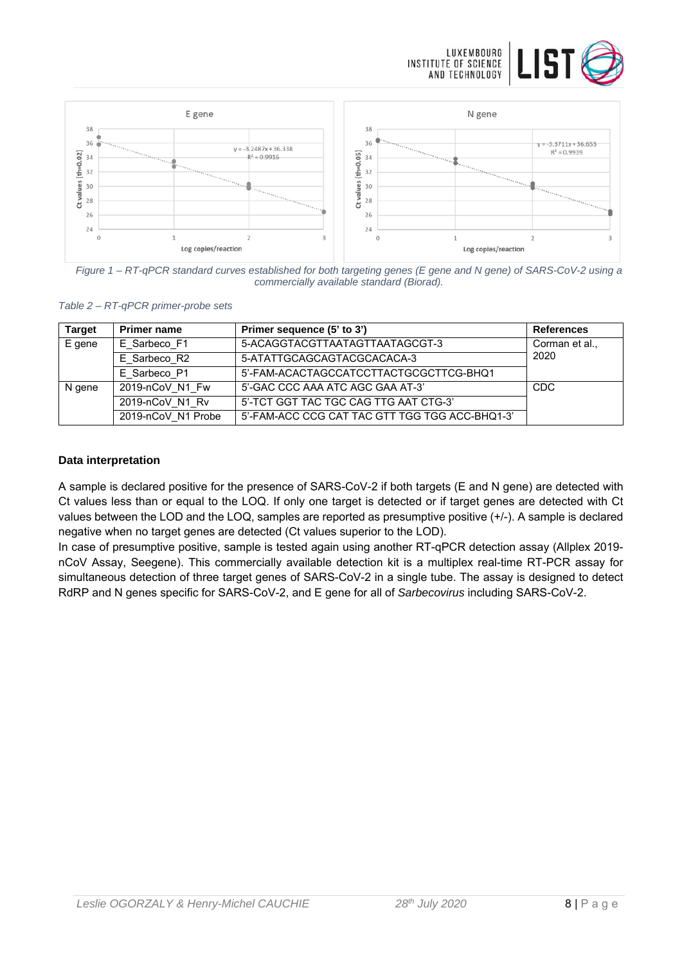



*Figure 1 – RT-qPCR standard curves established for both targeting genes (E gene and N gene) of SARS-CoV-2 using a commercially available standard (Biorad).* 

| Table 2 - RT-qPCR primer-probe sets |  |  |
|-------------------------------------|--|--|

| <b>Target</b> | <b>Primer name</b> | Primer sequence (5' to 3')                     | <b>References</b> |
|---------------|--------------------|------------------------------------------------|-------------------|
| E gene        | E Sarbeco F1       | 5-ACAGGTACGTTAATAGTTAATAGCGT-3                 | Corman et al.,    |
|               | E Sarbeco R2       | 5-ATATTGCAGCAGTACGCACACA-3                     | 2020              |
|               | E Sarbeco P1       | 5'-FAM-ACACTAGCCATCCTTACTGCGCTTCG-BHQ1         |                   |
| N gene        | 2019-nCoV N1 Fw    | 5'-GAC CCC AAA ATC AGC GAA AT-3'               | <b>CDC</b>        |
|               | 2019-nCoV N1 Rv    | 5'-TCT GGT TAC TGC CAG TTG AAT CTG-3'          |                   |
|               | 2019-nCoV N1 Probe | 5'-FAM-ACC CCG CAT TAC GTT TGG TGG ACC-BHQ1-3' |                   |

#### **Data interpretation**

A sample is declared positive for the presence of SARS-CoV-2 if both targets (E and N gene) are detected with Ct values less than or equal to the LOQ. If only one target is detected or if target genes are detected with Ct values between the LOD and the LOQ, samples are reported as presumptive positive (+/-). A sample is declared negative when no target genes are detected (Ct values superior to the LOD).

In case of presumptive positive, sample is tested again using another RT-qPCR detection assay (Allplex 2019 nCoV Assay, Seegene). This commercially available detection kit is a multiplex real-time RT-PCR assay for simultaneous detection of three target genes of SARS-CoV-2 in a single tube. The assay is designed to detect RdRP and N genes specific for SARS-CoV-2, and E gene for all of *Sarbecovirus* including SARS-CoV-2.